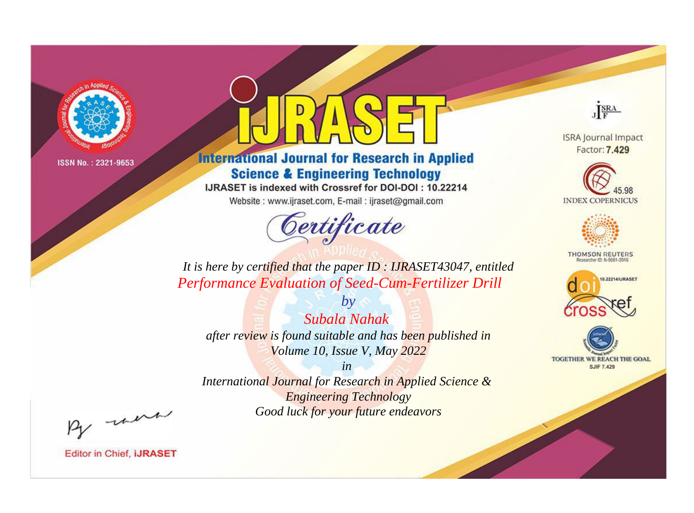

# **International Journal for Research in Applied Science & Engineering Technology**

IJRASET is indexed with Crossref for DOI-DOI: 10.22214

Website: www.ijraset.com, E-mail: ijraset@gmail.com



JERA

**ISRA Journal Impact** Factor: 7.429





**THOMSON REUTERS** 



TOGETHER WE REACH THE GOAL **SJIF 7.429** 

*It is here by certified that the paper ID : IJRASET43047, entitled Performance Evaluation of Seed-Cum-Fertilizer Drill*

*by Subala Nahak after review is found suitable and has been published in Volume 10, Issue V, May 2022*

*in* 

*International Journal for Research in Applied Science & Engineering Technology Good luck for your future endeavors*

By morn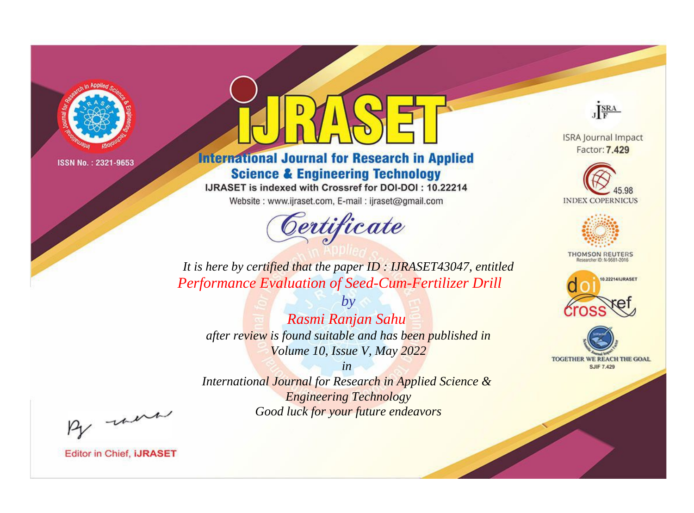

# **International Journal for Research in Applied Science & Engineering Technology**

IJRASET is indexed with Crossref for DOI-DOI: 10.22214

Website: www.ijraset.com, E-mail: ijraset@gmail.com



JERA

**ISRA Journal Impact** Factor: 7.429





**THOMSON REUTERS** 



TOGETHER WE REACH THE GOAL **SJIF 7.429** 

*It is here by certified that the paper ID : IJRASET43047, entitled Performance Evaluation of Seed-Cum-Fertilizer Drill*

*Rasmi Ranjan Sahu after review is found suitable and has been published in Volume 10, Issue V, May 2022*

*by*

*in* 

*International Journal for Research in Applied Science & Engineering Technology Good luck for your future endeavors*

By morn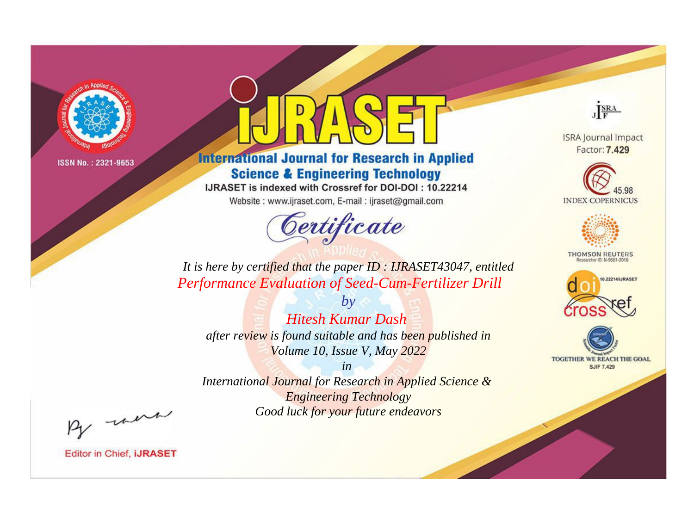

# **International Journal for Research in Applied Science & Engineering Technology**

IJRASET is indexed with Crossref for DOI-DOI: 10.22214

Website: www.ijraset.com, E-mail: ijraset@gmail.com



JERA

**ISRA Journal Impact** Factor: 7.429





**THOMSON REUTERS** 



TOGETHER WE REACH THE GOAL **SJIF 7.429** 

*It is here by certified that the paper ID : IJRASET43047, entitled Performance Evaluation of Seed-Cum-Fertilizer Drill*

*Hitesh Kumar Dash after review is found suitable and has been published in Volume 10, Issue V, May 2022*

*by*

*in* 

*International Journal for Research in Applied Science & Engineering Technology Good luck for your future endeavors*

By morn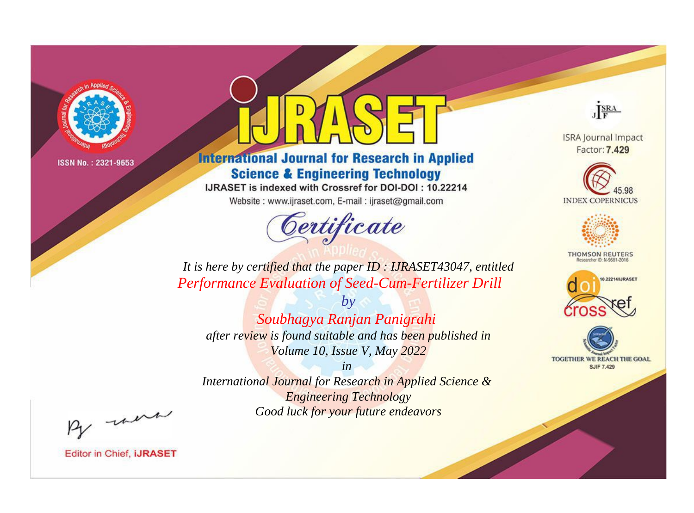

# **International Journal for Research in Applied Science & Engineering Technology**

IJRASET is indexed with Crossref for DOI-DOI: 10.22214

Website: www.ijraset.com, E-mail: ijraset@gmail.com



JERA

**ISRA Journal Impact** Factor: 7.429





**THOMSON REUTERS** 



TOGETHER WE REACH THE GOAL **SJIF 7.429** 

It is here by certified that the paper ID: IJRASET43047, entitled Performance Evaluation of Seed-Cum-Fertilizer Drill

 $b\nu$ Soubhagya Ranjan Panigrahi after review is found suitable and has been published in Volume 10, Issue V, May 2022

 $in$ International Journal for Research in Applied Science & **Engineering Technology** Good luck for your future endeavors

By morn